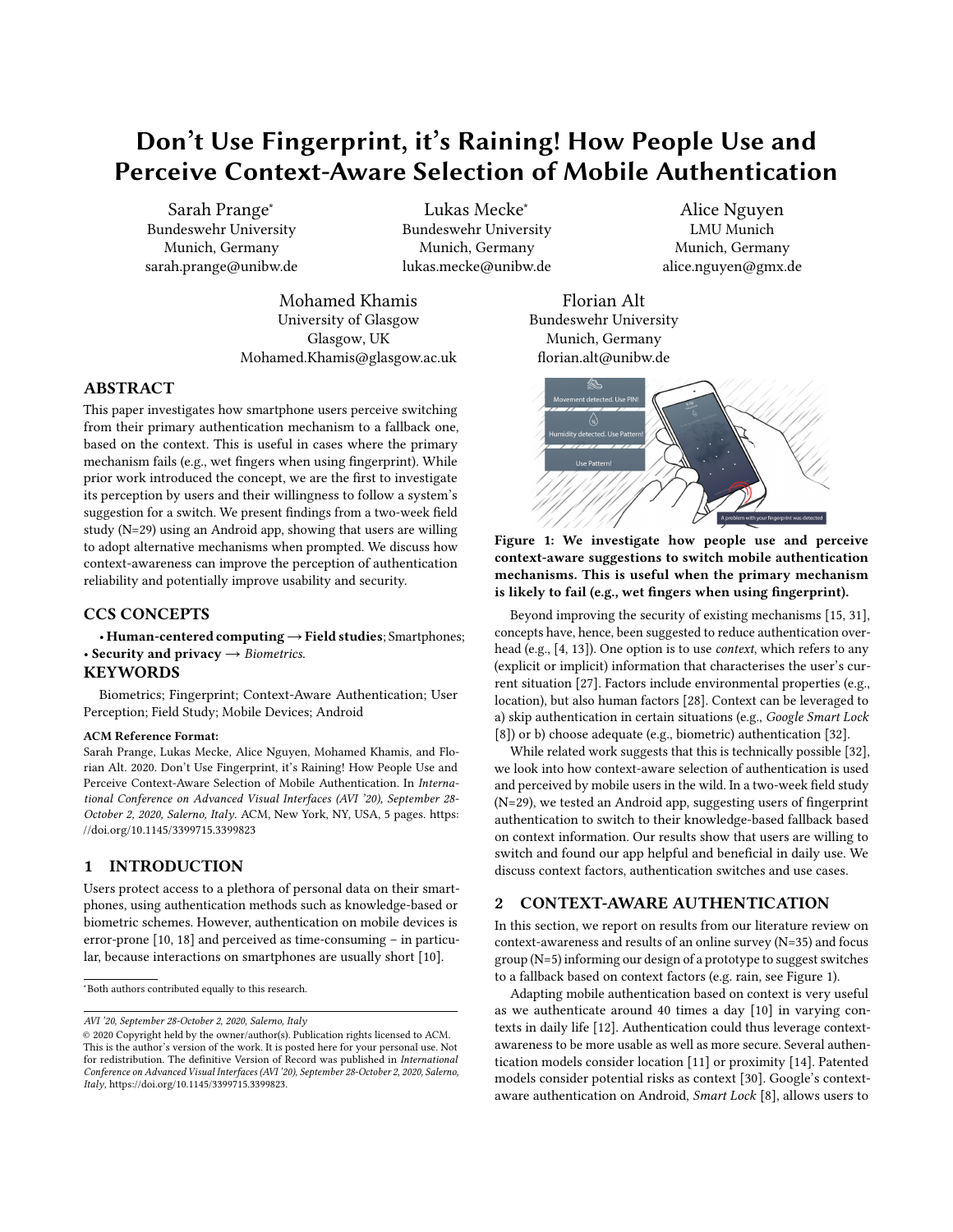# Don't Use Fingerprint, it's Raining! How People Use and Perceive Context-Aware Selection of Mobile Authentication

Sarah Prange<sup>∗</sup> Bundeswehr University Munich, Germany sarah.prange@unibw.de

Lukas Mecke<sup>∗</sup> Bundeswehr University Munich, Germany lukas.mecke@unibw.de

Mohamed Khamis University of Glasgow Glasgow, UK Mohamed.Khamis@glasgow.ac.uk

# ABSTRACT

This paper investigates how smartphone users perceive switching from their primary authentication mechanism to a fallback one, based on the context. This is useful in cases where the primary mechanism fails (e.g., wet fingers when using fingerprint). While prior work introduced the concept, we are the first to investigate its perception by users and their willingness to follow a system's suggestion for a switch. We present findings from a two-week field study (N=29) using an Android app, showing that users are willing to adopt alternative mechanisms when prompted. We discuss how context-awareness can improve the perception of authentication reliability and potentially improve usability and security.

# CCS CONCEPTS

• Human-centered computing  $\rightarrow$  Field studies; Smartphones; • Security and privacy  $\rightarrow$  Biometrics.

# **KEYWORDS**

Biometrics; Fingerprint; Context-Aware Authentication; User Perception; Field Study; Mobile Devices; Android

#### ACM Reference Format:

Sarah Prange, Lukas Mecke, Alice Nguyen, Mohamed Khamis, and Florian Alt. 2020. Don't Use Fingerprint, it's Raining! How People Use and Perceive Context-Aware Selection of Mobile Authentication. In International Conference on Advanced Visual Interfaces (AVI '20), September 28- October 2, 2020, Salerno, Italy. ACM, New York, NY, USA, [5](#page-4-0) pages. [https:](https://doi.org/10.1145/3399715.3399823) [//doi.org/10.1145/3399715.3399823](https://doi.org/10.1145/3399715.3399823)

#### 1 INTRODUCTION

Users protect access to a plethora of personal data on their smartphones, using authentication methods such as knowledge-based or biometric schemes. However, authentication on mobile devices is error-prone [\[10,](#page-4-1) [18\]](#page-4-2) and perceived as time-consuming – in particular, because interactions on smartphones are usually short [\[10\]](#page-4-1).

AVI '20, September 28-October 2, 2020, Salerno, Italy

Alice Nguyen LMU Munich Munich, Germany alice.nguyen@gmx.de

Florian Alt Bundeswehr University Munich, Germany florian.alt@unibw.de

<span id="page-0-0"></span>



Beyond improving the security of existing mechanisms [\[15,](#page-4-3) [31\]](#page-4-4), concepts have, hence, been suggested to reduce authentication overhead (e.g., [\[4,](#page-4-5) [13\]](#page-4-6)). One option is to use context, which refers to any (explicit or implicit) information that characterises the user's current situation [\[27\]](#page-4-7). Factors include environmental properties (e.g., location), but also human factors [\[28\]](#page-4-8). Context can be leveraged to a) skip authentication in certain situations (e.g., Google Smart Lock [\[8\]](#page-4-9)) or b) choose adequate (e.g., biometric) authentication [\[32\]](#page-4-10).

While related work suggests that this is technically possible [\[32\]](#page-4-10), we look into how context-aware selection of authentication is used and perceived by mobile users in the wild. In a two-week field study (N=29), we tested an Android app, suggesting users of fingerprint authentication to switch to their knowledge-based fallback based on context information. Our results show that users are willing to switch and found our app helpful and beneficial in daily use. We discuss context factors, authentication switches and use cases.

#### <span id="page-0-1"></span>2 CONTEXT-AWARE AUTHENTICATION

In this section, we report on results from our literature review on context-awareness and results of an online survey (N=35) and focus group (N=5) informing our design of a prototype to suggest switches to a fallback based on context factors (e.g. rain, see Figure [1\)](#page-0-0).

Adapting mobile authentication based on context is very useful as we authenticate around 40 times a day [\[10\]](#page-4-1) in varying contexts in daily life [\[12\]](#page-4-11). Authentication could thus leverage contextawareness to be more usable as well as more secure. Several authentication models consider location [\[11\]](#page-4-12) or proximity [\[14\]](#page-4-13). Patented models consider potential risks as context [\[30\]](#page-4-14). Google's contextaware authentication on Android, Smart Lock [\[8\]](#page-4-9), allows users to

<sup>∗</sup>Both authors contributed equally to this research.

<sup>©</sup> 2020 Copyright held by the owner/author(s). Publication rights licensed to ACM. This is the author's version of the work. It is posted here for your personal use. Not for redistribution. The definitive Version of Record was published in International Conference on Advanced Visual Interfaces (AVI '20), September 28-October 2, 2020, Salerno, Italy, [https://doi.org/10.1145/3399715.3399823.](https://doi.org/10.1145/3399715.3399823)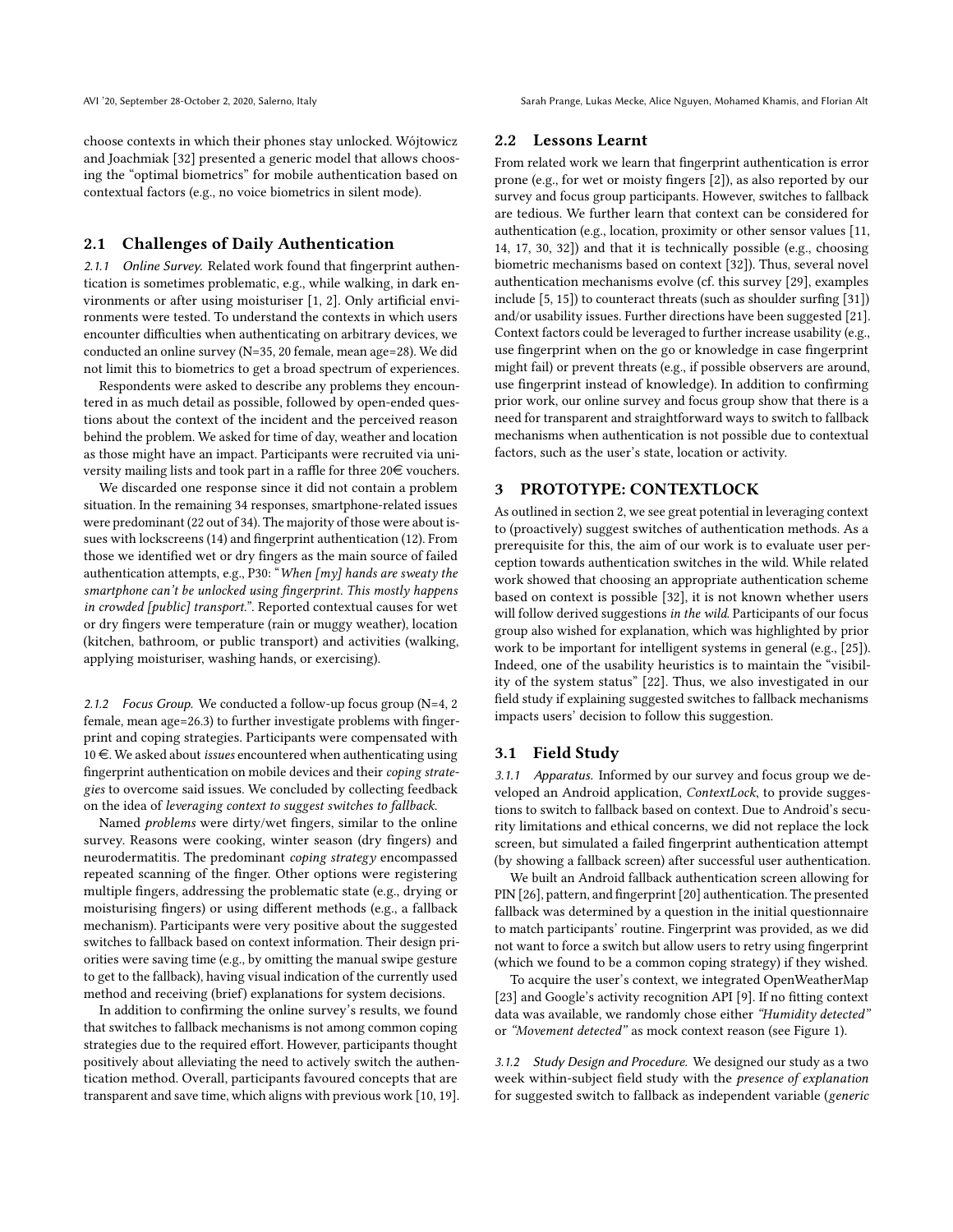AVI '20, September 28-October 2, 2020, Salerno, Italy Sarah Prange, Lukas Mecke, Alice Nguyen, Mohamed Khamis, and Florian Alt

choose contexts in which their phones stay unlocked. Wójtowicz and Joachmiak [\[32\]](#page-4-10) presented a generic model that allows choosing the "optimal biometrics" for mobile authentication based on contextual factors (e.g., no voice biometrics in silent mode).

#### 2.1 Challenges of Daily Authentication

2.1.1 Online Survey. Related work found that fingerprint authentication is sometimes problematic, e.g., while walking, in dark environments or after using moisturiser [\[1,](#page-4-15) [2\]](#page-4-16). Only artificial environments were tested. To understand the contexts in which users encounter difficulties when authenticating on arbitrary devices, we conducted an online survey (N=35, 20 female, mean age=28). We did not limit this to biometrics to get a broad spectrum of experiences.

Respondents were asked to describe any problems they encountered in as much detail as possible, followed by open-ended questions about the context of the incident and the perceived reason behind the problem. We asked for time of day, weather and location as those might have an impact. Participants were recruited via university mailing lists and took part in a raffle for three 20 $\in$  vouchers.

We discarded one response since it did not contain a problem situation. In the remaining 34 responses, smartphone-related issues were predominant (22 out of 34). The majority of those were about issues with lockscreens (14) and fingerprint authentication (12). From those we identified wet or dry fingers as the main source of failed authentication attempts, e.g., P30: "When [my] hands are sweaty the smartphone can't be unlocked using fingerprint. This mostly happens in crowded [public] transport.". Reported contextual causes for wet or dry fingers were temperature (rain or muggy weather), location (kitchen, bathroom, or public transport) and activities (walking, applying moisturiser, washing hands, or exercising).

2.1.2 Focus Group. We conducted a follow-up focus group (N=4, 2 female, mean age=26.3) to further investigate problems with fingerprint and coping strategies. Participants were compensated with 10 $\epsilon$ . We asked about *issues* encountered when authenticating using fingerprint authentication on mobile devices and their coping strategies to overcome said issues. We concluded by collecting feedback on the idea of leveraging context to suggest switches to fallback.

Named problems were dirty/wet fingers, similar to the online survey. Reasons were cooking, winter season (dry fingers) and neurodermatitis. The predominant coping strategy encompassed repeated scanning of the finger. Other options were registering multiple fingers, addressing the problematic state (e.g., drying or moisturising fingers) or using different methods (e.g., a fallback mechanism). Participants were very positive about the suggested switches to fallback based on context information. Their design priorities were saving time (e.g., by omitting the manual swipe gesture to get to the fallback), having visual indication of the currently used method and receiving (brief) explanations for system decisions.

In addition to confirming the online survey's results, we found that switches to fallback mechanisms is not among common coping strategies due to the required effort. However, participants thought positively about alleviating the need to actively switch the authentication method. Overall, participants favoured concepts that are transparent and save time, which aligns with previous work [\[10,](#page-4-1) [19\]](#page-4-17).

#### 2.2 Lessons Learnt

From related work we learn that fingerprint authentication is error prone (e.g., for wet or moisty fingers [\[2\]](#page-4-16)), as also reported by our survey and focus group participants. However, switches to fallback are tedious. We further learn that context can be considered for authentication (e.g., location, proximity or other sensor values [\[11,](#page-4-12) [14,](#page-4-13) [17,](#page-4-18) [30,](#page-4-14) [32\]](#page-4-10)) and that it is technically possible (e.g., choosing biometric mechanisms based on context [\[32\]](#page-4-10)). Thus, several novel authentication mechanisms evolve (cf. this survey [\[29\]](#page-4-19), examples include [\[5,](#page-4-20) [15\]](#page-4-3)) to counteract threats (such as shoulder surfing [\[31\]](#page-4-4)) and/or usability issues. Further directions have been suggested [\[21\]](#page-4-21). Context factors could be leveraged to further increase usability (e.g., use fingerprint when on the go or knowledge in case fingerprint might fail) or prevent threats (e.g., if possible observers are around, use fingerprint instead of knowledge). In addition to confirming prior work, our online survey and focus group show that there is a need for transparent and straightforward ways to switch to fallback mechanisms when authentication is not possible due to contextual factors, such as the user's state, location or activity.

# 3 PROTOTYPE: CONTEXTLOCK

As outlined in section [2,](#page-0-1) we see great potential in leveraging context to (proactively) suggest switches of authentication methods. As a prerequisite for this, the aim of our work is to evaluate user perception towards authentication switches in the wild. While related work showed that choosing an appropriate authentication scheme based on context is possible [\[32\]](#page-4-10), it is not known whether users will follow derived suggestions in the wild. Participants of our focus group also wished for explanation, which was highlighted by prior work to be important for intelligent systems in general (e.g., [\[25\]](#page-4-22)). Indeed, one of the usability heuristics is to maintain the "visibility of the system status" [\[22\]](#page-4-23). Thus, we also investigated in our field study if explaining suggested switches to fallback mechanisms impacts users' decision to follow this suggestion.

### 3.1 Field Study

3.1.1 Apparatus. Informed by our survey and focus group we developed an Android application, ContextLock, to provide suggestions to switch to fallback based on context. Due to Android's security limitations and ethical concerns, we did not replace the lock screen, but simulated a failed fingerprint authentication attempt (by showing a fallback screen) after successful user authentication.

We built an Android fallback authentication screen allowing for PIN [\[26\]](#page-4-24), pattern, and fingerprint [\[20\]](#page-4-25) authentication. The presented fallback was determined by a question in the initial questionnaire to match participants' routine. Fingerprint was provided, as we did not want to force a switch but allow users to retry using fingerprint (which we found to be a common coping strategy) if they wished.

To acquire the user's context, we integrated OpenWeatherMap [\[23\]](#page-4-26) and Google's activity recognition API [\[9\]](#page-4-27). If no fitting context data was available, we randomly chose either "Humidity detected" or "Movement detected" as mock context reason (see Figure [1\)](#page-0-0).

3.1.2 Study Design and Procedure. We designed our study as a two week within-subject field study with the presence of explanation for suggested switch to fallback as independent variable (generic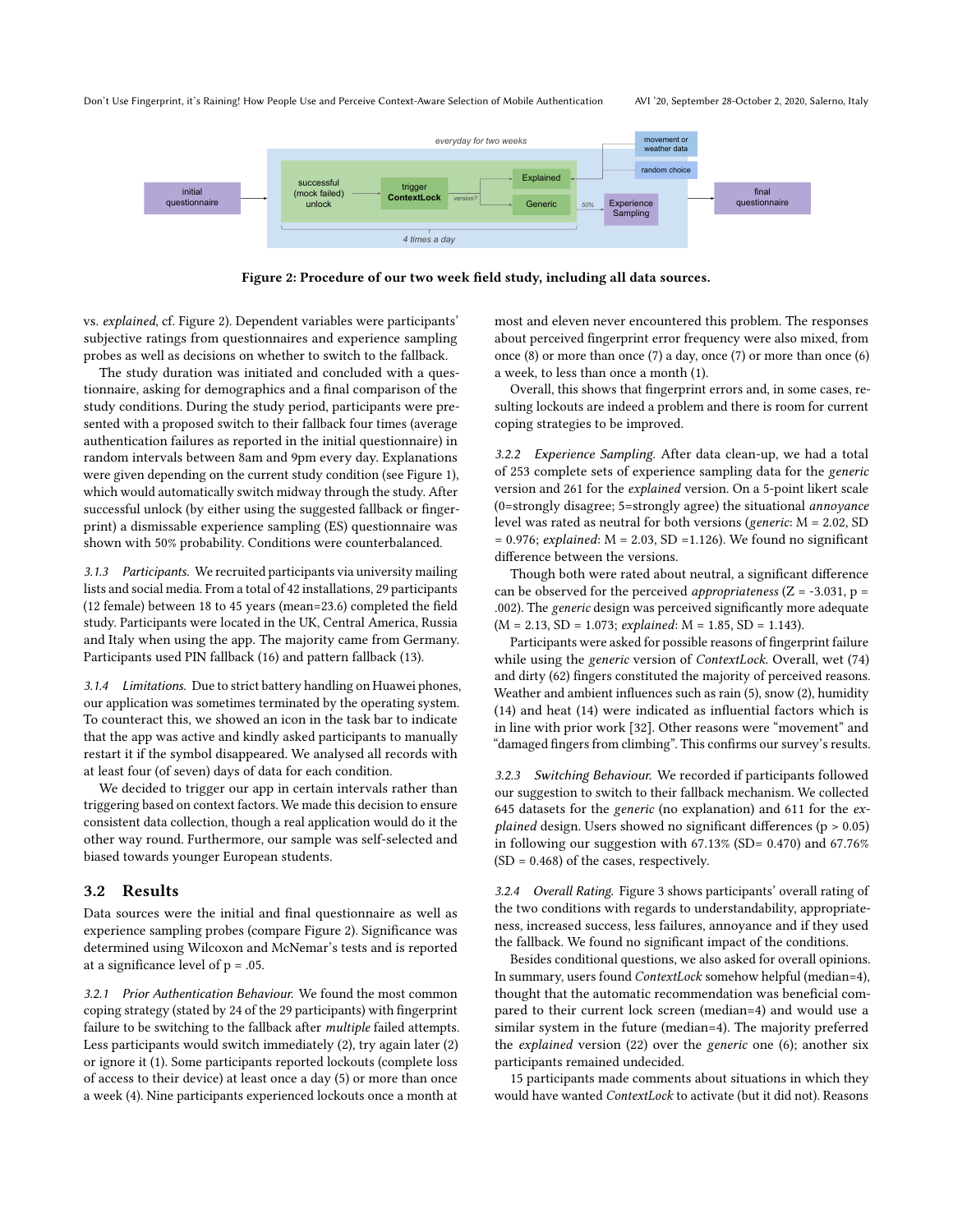#### <span id="page-2-0"></span>Don't Use Fingerprint, it's Raining! How People Use and Perceive Context-Aware Selection of Mobile Authentication AVI '20, September 28-October 2, 2020, Salerno, Italy



Figure 2: Procedure of our two week field study, including all data sources.

vs. explained, cf. Figure [2\)](#page-2-0). Dependent variables were participants' subjective ratings from questionnaires and experience sampling probes as well as decisions on whether to switch to the fallback.

The study duration was initiated and concluded with a questionnaire, asking for demographics and a final comparison of the study conditions. During the study period, participants were presented with a proposed switch to their fallback four times (average authentication failures as reported in the initial questionnaire) in random intervals between 8am and 9pm every day. Explanations were given depending on the current study condition (see Figure [1\)](#page-0-0), which would automatically switch midway through the study. After successful unlock (by either using the suggested fallback or fingerprint) a dismissable experience sampling (ES) questionnaire was shown with 50% probability. Conditions were counterbalanced.

3.1.3 Participants. We recruited participants via university mailing lists and social media. From a total of 42 installations, 29 participants (12 female) between 18 to 45 years (mean=23.6) completed the field study. Participants were located in the UK, Central America, Russia and Italy when using the app. The majority came from Germany. Participants used PIN fallback (16) and pattern fallback (13).

3.1.4 Limitations. Due to strict battery handling on Huawei phones, our application was sometimes terminated by the operating system. To counteract this, we showed an icon in the task bar to indicate that the app was active and kindly asked participants to manually restart it if the symbol disappeared. We analysed all records with at least four (of seven) days of data for each condition.

We decided to trigger our app in certain intervals rather than triggering based on context factors. We made this decision to ensure consistent data collection, though a real application would do it the other way round. Furthermore, our sample was self-selected and biased towards younger European students.

#### 3.2 Results

Data sources were the initial and final questionnaire as well as experience sampling probes (compare Figure [2\)](#page-2-0). Significance was determined using Wilcoxon and McNemar's tests and is reported at a significance level of  $p = .05$ .

3.2.1 Prior Authentication Behaviour. We found the most common coping strategy (stated by 24 of the 29 participants) with fingerprint failure to be switching to the fallback after multiple failed attempts. Less participants would switch immediately (2), try again later (2) or ignore it (1). Some participants reported lockouts (complete loss of access to their device) at least once a day (5) or more than once a week (4). Nine participants experienced lockouts once a month at

most and eleven never encountered this problem. The responses about perceived fingerprint error frequency were also mixed, from once (8) or more than once (7) a day, once (7) or more than once (6) a week, to less than once a month (1).

Overall, this shows that fingerprint errors and, in some cases, resulting lockouts are indeed a problem and there is room for current coping strategies to be improved.

3.2.2 Experience Sampling. After data clean-up, we had a total of 253 complete sets of experience sampling data for the generic version and 261 for the explained version. On a 5-point likert scale (0=strongly disagree; 5=strongly agree) the situational annoyance level was rated as neutral for both versions (generic: M = 2.02, SD  $= 0.976$ ; explained: M = 2.03, SD =1.126). We found no significant difference between the versions.

Though both were rated about neutral, a significant difference can be observed for the perceived *appropriateness* ( $Z = -3.031$ ,  $p =$ .002). The generic design was perceived significantly more adequate  $(M = 2.13, SD = 1.073; explained: M = 1.85, SD = 1.143).$ 

Participants were asked for possible reasons of fingerprint failure while using the generic version of ContextLock. Overall, wet (74) and dirty (62) fingers constituted the majority of perceived reasons. Weather and ambient influences such as rain (5), snow (2), humidity (14) and heat (14) were indicated as influential factors which is in line with prior work [\[32\]](#page-4-10). Other reasons were "movement" and "damaged fingers from climbing". This confirms our survey's results.

3.2.3 Switching Behaviour. We recorded if participants followed our suggestion to switch to their fallback mechanism. We collected 645 datasets for the generic (no explanation) and 611 for the explained design. Users showed no significant differences ( $p > 0.05$ ) in following our suggestion with  $67.13\%$  (SD= 0.470) and  $67.76\%$  $(SD = 0.468)$  of the cases, respectively.

3.2.4 Overall Rating. Figure [3](#page-3-0) shows participants' overall rating of the two conditions with regards to understandability, appropriateness, increased success, less failures, annoyance and if they used the fallback. We found no significant impact of the conditions.

Besides conditional questions, we also asked for overall opinions. In summary, users found ContextLock somehow helpful (median=4), thought that the automatic recommendation was beneficial compared to their current lock screen (median=4) and would use a similar system in the future (median=4). The majority preferred the explained version (22) over the generic one (6); another six participants remained undecided.

15 participants made comments about situations in which they would have wanted ContextLock to activate (but it did not). Reasons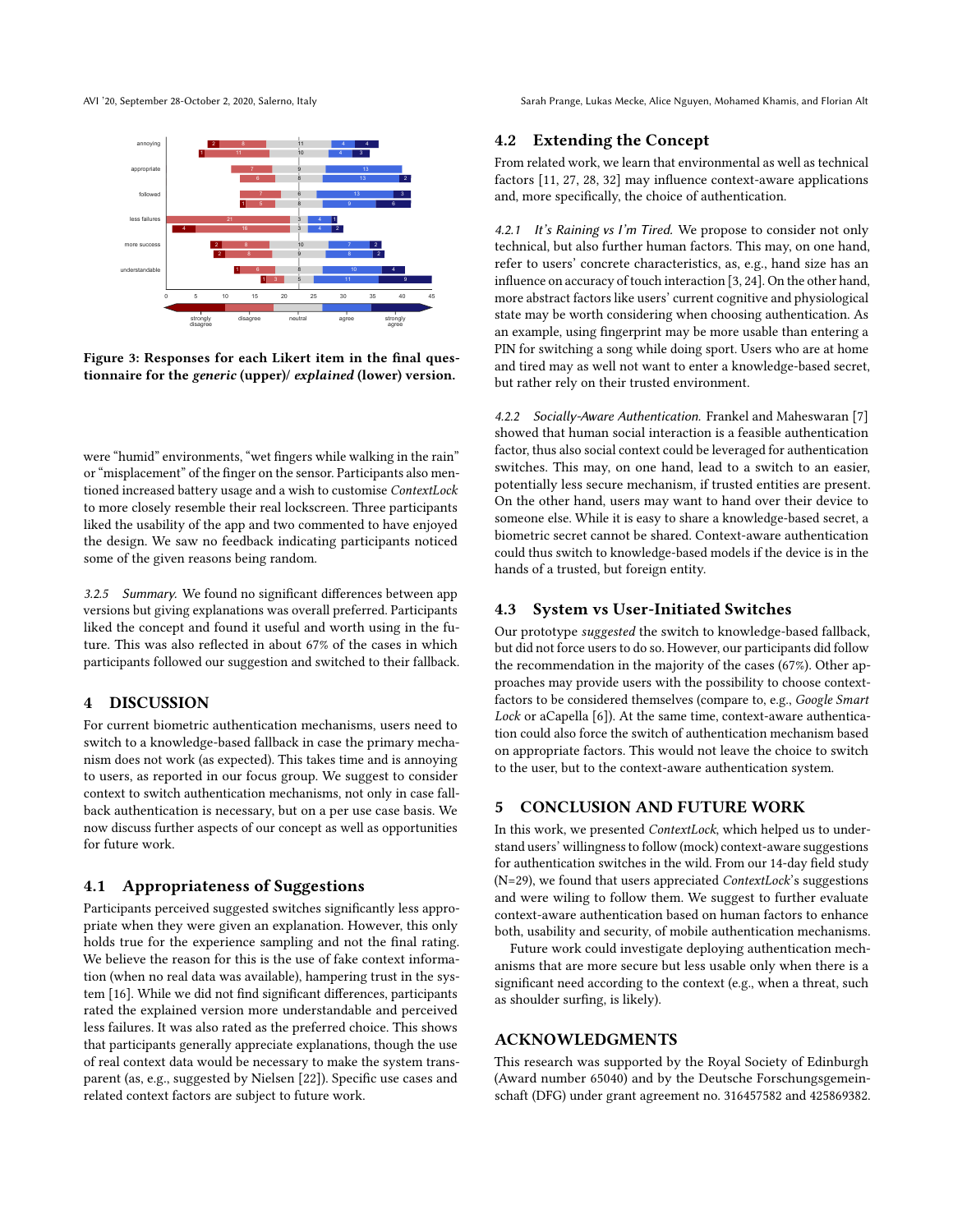AVI '20, September 28-October 2, 2020, Salerno, Italy Sarah Prange, Lukas Mecke, Alice Nguyen, Mohamed Khamis, and Florian Alt

<span id="page-3-0"></span>

Figure 3: Responses for each Likert item in the final questionnaire for the generic (upper)/ explained (lower) version.

were "humid" environments, "wet fingers while walking in the rain" or "misplacement" of the finger on the sensor. Participants also mentioned increased battery usage and a wish to customise ContextLock to more closely resemble their real lockscreen. Three participants liked the usability of the app and two commented to have enjoyed the design. We saw no feedback indicating participants noticed some of the given reasons being random.

3.2.5 Summary. We found no significant differences between app versions but giving explanations was overall preferred. Participants liked the concept and found it useful and worth using in the future. This was also reflected in about 67% of the cases in which participants followed our suggestion and switched to their fallback.

# 4 DISCUSSION

For current biometric authentication mechanisms, users need to switch to a knowledge-based fallback in case the primary mechanism does not work (as expected). This takes time and is annoying to users, as reported in our focus group. We suggest to consider context to switch authentication mechanisms, not only in case fallback authentication is necessary, but on a per use case basis. We now discuss further aspects of our concept as well as opportunities for future work.

### 4.1 Appropriateness of Suggestions

Participants perceived suggested switches significantly less appropriate when they were given an explanation. However, this only holds true for the experience sampling and not the final rating. We believe the reason for this is the use of fake context information (when no real data was available), hampering trust in the system [\[16\]](#page-4-28). While we did not find significant differences, participants rated the explained version more understandable and perceived less failures. It was also rated as the preferred choice. This shows that participants generally appreciate explanations, though the use of real context data would be necessary to make the system transparent (as, e.g., suggested by Nielsen [\[22\]](#page-4-23)). Specific use cases and related context factors are subject to future work.

# 4.2 Extending the Concept

From related work, we learn that environmental as well as technical factors [\[11,](#page-4-12) [27,](#page-4-7) [28,](#page-4-8) [32\]](#page-4-10) may influence context-aware applications and, more specifically, the choice of authentication.

4.2.1 It's Raining vs I'm Tired. We propose to consider not only technical, but also further human factors. This may, on one hand, refer to users' concrete characteristics, as, e.g., hand size has an influence on accuracy of touch interaction [\[3,](#page-4-29) [24\]](#page-4-30). On the other hand, more abstract factors like users' current cognitive and physiological state may be worth considering when choosing authentication. As an example, using fingerprint may be more usable than entering a PIN for switching a song while doing sport. Users who are at home and tired may as well not want to enter a knowledge-based secret, but rather rely on their trusted environment.

4.2.2 Socially-Aware Authentication. Frankel and Maheswaran [\[7\]](#page-4-31) showed that human social interaction is a feasible authentication factor, thus also social context could be leveraged for authentication switches. This may, on one hand, lead to a switch to an easier, potentially less secure mechanism, if trusted entities are present. On the other hand, users may want to hand over their device to someone else. While it is easy to share a knowledge-based secret, a biometric secret cannot be shared. Context-aware authentication could thus switch to knowledge-based models if the device is in the hands of a trusted, but foreign entity.

# 4.3 System vs User-Initiated Switches

Our prototype suggested the switch to knowledge-based fallback, but did not force users to do so. However, our participants did follow the recommendation in the majority of the cases (67%). Other approaches may provide users with the possibility to choose contextfactors to be considered themselves (compare to, e.g., Google Smart Lock or aCapella [\[6\]](#page-4-32)). At the same time, context-aware authentication could also force the switch of authentication mechanism based on appropriate factors. This would not leave the choice to switch to the user, but to the context-aware authentication system.

# 5 CONCLUSION AND FUTURE WORK

In this work, we presented ContextLock, which helped us to understand users' willingness to follow (mock) context-aware suggestions for authentication switches in the wild. From our 14-day field study (N=29), we found that users appreciated ContextLock's suggestions and were wiling to follow them. We suggest to further evaluate context-aware authentication based on human factors to enhance both, usability and security, of mobile authentication mechanisms.

Future work could investigate deploying authentication mechanisms that are more secure but less usable only when there is a significant need according to the context (e.g., when a threat, such as shoulder surfing, is likely).

# ACKNOWLEDGMENTS

This research was supported by the Royal Society of Edinburgh (Award number 65040) and by the Deutsche Forschungsgemeinschaft (DFG) under grant agreement no. 316457582 and 425869382.